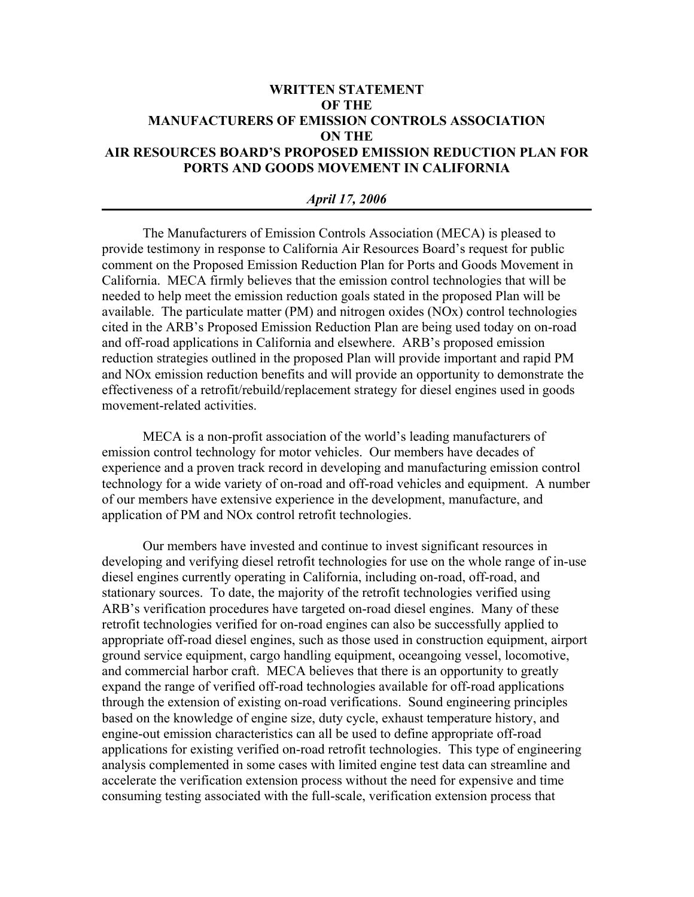# **WRITTEN STATEMENT OF THE MANUFACTURERS OF EMISSION CONTROLS ASSOCIATION ON THE AIR RESOURCES BOARD'S PROPOSED EMISSION REDUCTION PLAN FOR PORTS AND GOODS MOVEMENT IN CALIFORNIA**

#### *April 17, 2006*

The Manufacturers of Emission Controls Association (MECA) is pleased to provide testimony in response to California Air Resources Board's request for public comment on the Proposed Emission Reduction Plan for Ports and Goods Movement in California. MECA firmly believes that the emission control technologies that will be needed to help meet the emission reduction goals stated in the proposed Plan will be available. The particulate matter (PM) and nitrogen oxides (NOx) control technologies cited in the ARB's Proposed Emission Reduction Plan are being used today on on-road and off-road applications in California and elsewhere. ARB's proposed emission reduction strategies outlined in the proposed Plan will provide important and rapid PM and NOx emission reduction benefits and will provide an opportunity to demonstrate the effectiveness of a retrofit/rebuild/replacement strategy for diesel engines used in goods movement-related activities.

MECA is a non-profit association of the world's leading manufacturers of emission control technology for motor vehicles. Our members have decades of experience and a proven track record in developing and manufacturing emission control technology for a wide variety of on-road and off-road vehicles and equipment. A number of our members have extensive experience in the development, manufacture, and application of PM and NOx control retrofit technologies.

Our members have invested and continue to invest significant resources in developing and verifying diesel retrofit technologies for use on the whole range of in-use diesel engines currently operating in California, including on-road, off-road, and stationary sources. To date, the majority of the retrofit technologies verified using ARB's verification procedures have targeted on-road diesel engines. Many of these retrofit technologies verified for on-road engines can also be successfully applied to appropriate off-road diesel engines, such as those used in construction equipment, airport ground service equipment, cargo handling equipment, oceangoing vessel, locomotive, and commercial harbor craft. MECA believes that there is an opportunity to greatly expand the range of verified off-road technologies available for off-road applications through the extension of existing on-road verifications. Sound engineering principles based on the knowledge of engine size, duty cycle, exhaust temperature history, and engine-out emission characteristics can all be used to define appropriate off-road applications for existing verified on-road retrofit technologies. This type of engineering analysis complemented in some cases with limited engine test data can streamline and accelerate the verification extension process without the need for expensive and time consuming testing associated with the full-scale, verification extension process that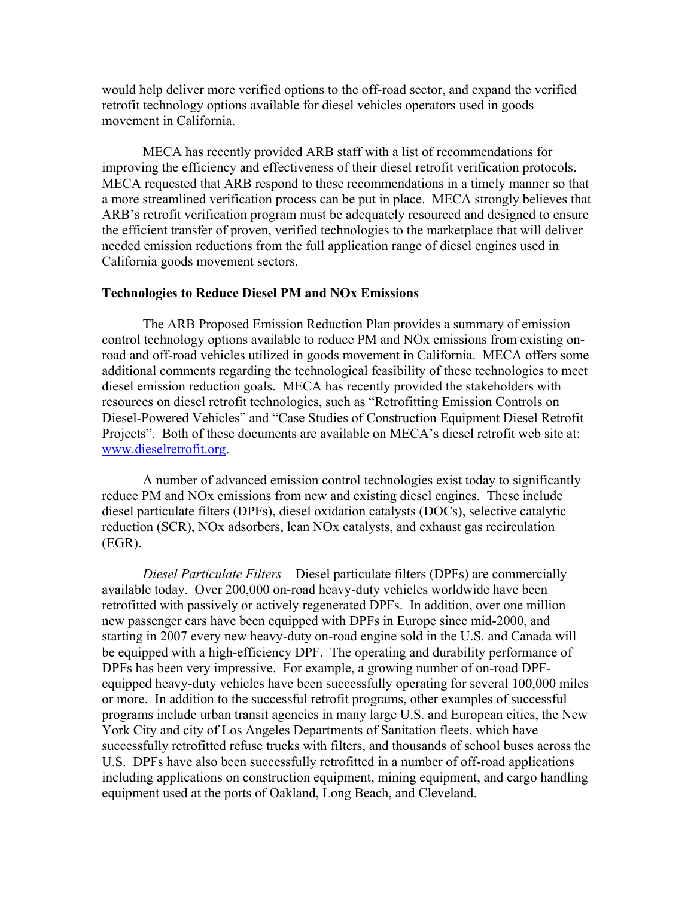would help deliver more verified options to the off-road sector, and expand the verified retrofit technology options available for diesel vehicles operators used in goods movement in California.

MECA has recently provided ARB staff with a list of recommendations for improving the efficiency and effectiveness of their diesel retrofit verification protocols. MECA requested that ARB respond to these recommendations in a timely manner so that a more streamlined verification process can be put in place. MECA strongly believes that ARB's retrofit verification program must be adequately resourced and designed to ensure the efficient transfer of proven, verified technologies to the marketplace that will deliver needed emission reductions from the full application range of diesel engines used in California goods movement sectors.

## **Technologies to Reduce Diesel PM and NOx Emissions**

The ARB Proposed Emission Reduction Plan provides a summary of emission control technology options available to reduce PM and NOx emissions from existing onroad and off-road vehicles utilized in goods movement in California. MECA offers some additional comments regarding the technological feasibility of these technologies to meet diesel emission reduction goals. MECA has recently provided the stakeholders with resources on diesel retrofit technologies, such as "Retrofitting Emission Controls on Diesel-Powered Vehicles" and "Case Studies of Construction Equipment Diesel Retrofit Projects". Both of these documents are available on MECA's diesel retrofit web site at: www.dieselretrofit.org.

A number of advanced emission control technologies exist today to significantly reduce PM and NOx emissions from new and existing diesel engines. These include diesel particulate filters (DPFs), diesel oxidation catalysts (DOCs), selective catalytic reduction (SCR), NOx adsorbers, lean NOx catalysts, and exhaust gas recirculation (EGR).

*Diesel Particulate Filters –* Diesel particulate filters (DPFs) are commercially available today. Over 200,000 on-road heavy-duty vehicles worldwide have been retrofitted with passively or actively regenerated DPFs. In addition, over one million new passenger cars have been equipped with DPFs in Europe since mid-2000, and starting in 2007 every new heavy-duty on-road engine sold in the U.S. and Canada will be equipped with a high-efficiency DPF. The operating and durability performance of DPFs has been very impressive. For example, a growing number of on-road DPFequipped heavy-duty vehicles have been successfully operating for several 100,000 miles or more. In addition to the successful retrofit programs, other examples of successful programs include urban transit agencies in many large U.S. and European cities, the New York City and city of Los Angeles Departments of Sanitation fleets, which have successfully retrofitted refuse trucks with filters, and thousands of school buses across the U.S. DPFs have also been successfully retrofitted in a number of off-road applications including applications on construction equipment, mining equipment, and cargo handling equipment used at the ports of Oakland, Long Beach, and Cleveland.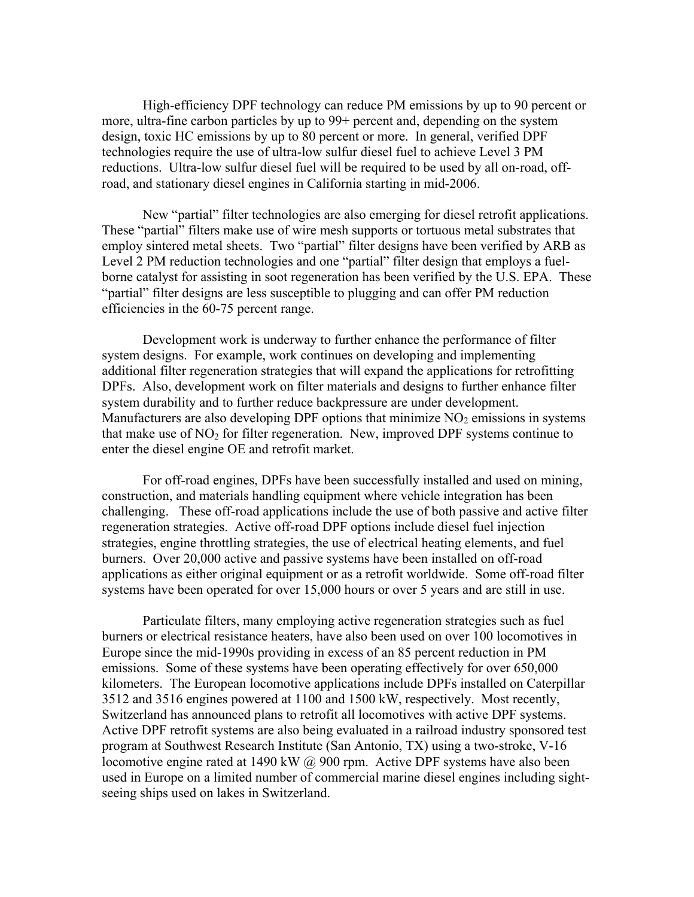High-efficiency DPF technology can reduce PM emissions by up to 90 percent or more, ultra-fine carbon particles by up to 99+ percent and, depending on the system design, toxic HC emissions by up to 80 percent or more. In general, verified DPF technologies require the use of ultra-low sulfur diesel fuel to achieve Level 3 PM reductions. Ultra-low sulfur diesel fuel will be required to be used by all on-road, offroad, and stationary diesel engines in California starting in mid-2006.

New "partial" filter technologies are also emerging for diesel retrofit applications. These "partial" filters make use of wire mesh supports or tortuous metal substrates that employ sintered metal sheets. Two "partial" filter designs have been verified by ARB as Level 2 PM reduction technologies and one "partial" filter design that employs a fuelborne catalyst for assisting in soot regeneration has been verified by the U.S. EPA. These "partial" filter designs are less susceptible to plugging and can offer PM reduction efficiencies in the 60-75 percent range.

Development work is underway to further enhance the performance of filter system designs. For example, work continues on developing and implementing additional filter regeneration strategies that will expand the applications for retrofitting DPFs. Also, development work on filter materials and designs to further enhance filter system durability and to further reduce backpressure are under development. Manufacturers are also developing DPF options that minimize  $NO<sub>2</sub>$  emissions in systems that make use of  $NO<sub>2</sub>$  for filter regeneration. New, improved DPF systems continue to enter the diesel engine OE and retrofit market.

For off-road engines, DPFs have been successfully installed and used on mining, construction, and materials handling equipment where vehicle integration has been challenging. These off-road applications include the use of both passive and active filter regeneration strategies. Active off-road DPF options include diesel fuel injection strategies, engine throttling strategies, the use of electrical heating elements, and fuel burners. Over 20,000 active and passive systems have been installed on off-road applications as either original equipment or as a retrofit worldwide. Some off-road filter systems have been operated for over 15,000 hours or over 5 years and are still in use.

Particulate filters, many employing active regeneration strategies such as fuel burners or electrical resistance heaters, have also been used on over 100 locomotives in Europe since the mid-1990s providing in excess of an 85 percent reduction in PM emissions. Some of these systems have been operating effectively for over 650,000 kilometers. The European locomotive applications include DPFs installed on Caterpillar 3512 and 3516 engines powered at 1100 and 1500 kW, respectively. Most recently, Switzerland has announced plans to retrofit all locomotives with active DPF systems. Active DPF retrofit systems are also being evaluated in a railroad industry sponsored test program at Southwest Research Institute (San Antonio, TX) using a two-stroke, V-16 locomotive engine rated at 1490 kW @ 900 rpm. Active DPF systems have also been used in Europe on a limited number of commercial marine diesel engines including sightseeing ships used on lakes in Switzerland.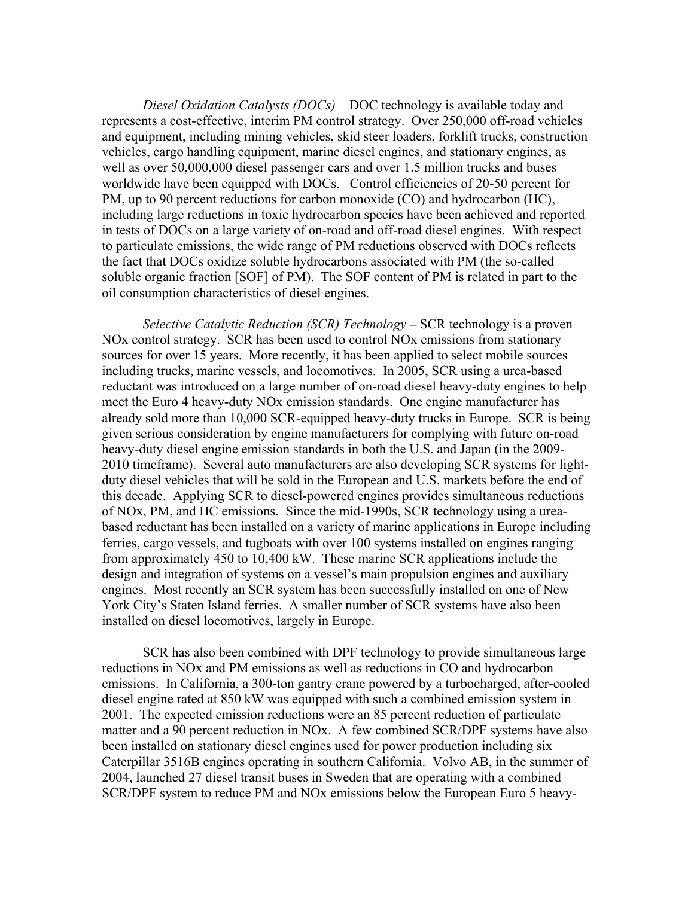*Diesel Oxidation Catalysts (DOCs)* – DOC technology is available today and represents a cost-effective, interim PM control strategy. Over 250,000 off-road vehicles and equipment, including mining vehicles, skid steer loaders, forklift trucks, construction vehicles, cargo handling equipment, marine diesel engines, and stationary engines, as well as over 50,000,000 diesel passenger cars and over 1.5 million trucks and buses worldwide have been equipped with DOCs. Control efficiencies of 20-50 percent for PM, up to 90 percent reductions for carbon monoxide (CO) and hydrocarbon (HC), including large reductions in toxic hydrocarbon species have been achieved and reported in tests of DOCs on a large variety of on-road and off-road diesel engines. With respect to particulate emissions, the wide range of PM reductions observed with DOCs reflects the fact that DOCs oxidize soluble hydrocarbons associated with PM (the so-called soluble organic fraction [SOF] of PM). The SOF content of PM is related in part to the oil consumption characteristics of diesel engines.

*Selective Catalytic Reduction (SCR) Technology* **–** SCR technology is a proven NOx control strategy. SCR has been used to control NOx emissions from stationary sources for over 15 years. More recently, it has been applied to select mobile sources including trucks, marine vessels, and locomotives. In 2005, SCR using a urea-based reductant was introduced on a large number of on-road diesel heavy-duty engines to help meet the Euro 4 heavy-duty NOx emission standards. One engine manufacturer has already sold more than 10,000 SCR-equipped heavy-duty trucks in Europe. SCR is being given serious consideration by engine manufacturers for complying with future on-road heavy-duty diesel engine emission standards in both the U.S. and Japan (in the 2009- 2010 timeframe). Several auto manufacturers are also developing SCR systems for lightduty diesel vehicles that will be sold in the European and U.S. markets before the end of this decade. Applying SCR to diesel-powered engines provides simultaneous reductions of NOx, PM, and HC emissions. Since the mid-1990s, SCR technology using a ureabased reductant has been installed on a variety of marine applications in Europe including ferries, cargo vessels, and tugboats with over 100 systems installed on engines ranging from approximately 450 to 10,400 kW. These marine SCR applications include the design and integration of systems on a vessel's main propulsion engines and auxiliary engines. Most recently an SCR system has been successfully installed on one of New York City's Staten Island ferries. A smaller number of SCR systems have also been installed on diesel locomotives, largely in Europe.

SCR has also been combined with DPF technology to provide simultaneous large reductions in NOx and PM emissions as well as reductions in CO and hydrocarbon emissions. In California, a 300-ton gantry crane powered by a turbocharged, after-cooled diesel engine rated at 850 kW was equipped with such a combined emission system in 2001. The expected emission reductions were an 85 percent reduction of particulate matter and a 90 percent reduction in NOx. A few combined SCR/DPF systems have also been installed on stationary diesel engines used for power production including six Caterpillar 3516B engines operating in southern California. Volvo AB, in the summer of 2004, launched 27 diesel transit buses in Sweden that are operating with a combined SCR/DPF system to reduce PM and NOx emissions below the European Euro 5 heavy-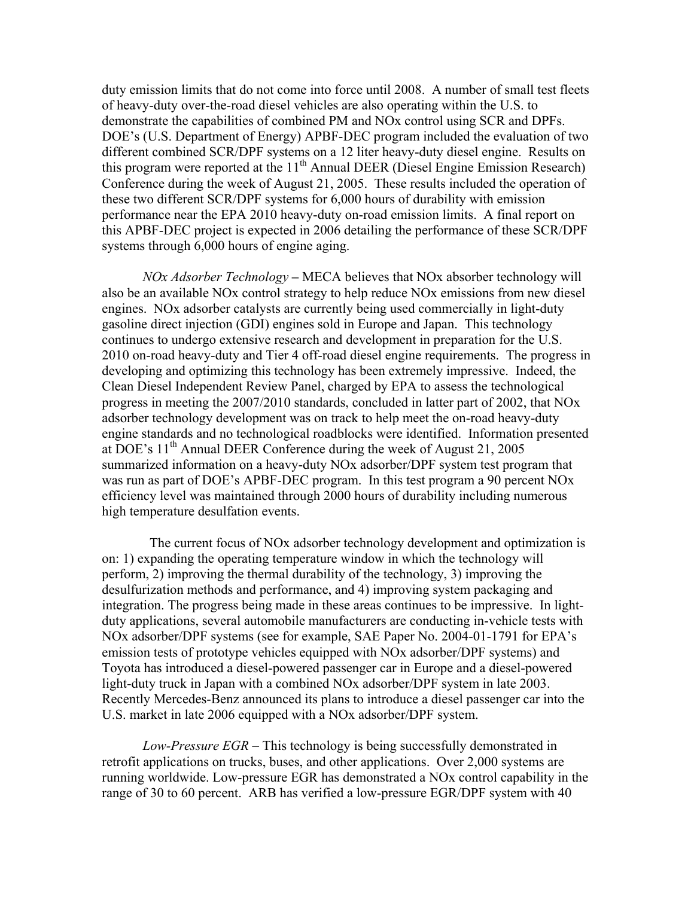duty emission limits that do not come into force until 2008. A number of small test fleets of heavy-duty over-the-road diesel vehicles are also operating within the U.S. to demonstrate the capabilities of combined PM and NOx control using SCR and DPFs. DOE's (U.S. Department of Energy) APBF-DEC program included the evaluation of two different combined SCR/DPF systems on a 12 liter heavy-duty diesel engine. Results on this program were reported at the 11<sup>th</sup> Annual DEER (Diesel Engine Emission Research) Conference during the week of August 21, 2005. These results included the operation of these two different SCR/DPF systems for 6,000 hours of durability with emission performance near the EPA 2010 heavy-duty on-road emission limits. A final report on this APBF-DEC project is expected in 2006 detailing the performance of these SCR/DPF systems through 6,000 hours of engine aging.

*NOx Adsorber Technology –* MECA believes that NOx absorber technology will also be an available NOx control strategy to help reduce NOx emissions from new diesel engines. NOx adsorber catalysts are currently being used commercially in light-duty gasoline direct injection (GDI) engines sold in Europe and Japan. This technology continues to undergo extensive research and development in preparation for the U.S. 2010 on-road heavy-duty and Tier 4 off-road diesel engine requirements. The progress in developing and optimizing this technology has been extremely impressive. Indeed, the Clean Diesel Independent Review Panel, charged by EPA to assess the technological progress in meeting the 2007/2010 standards, concluded in latter part of 2002, that NOx adsorber technology development was on track to help meet the on-road heavy-duty engine standards and no technological roadblocks were identified. Information presented at DOE's  $11<sup>th</sup>$  Annual DEER Conference during the week of August 21, 2005 summarized information on a heavy-duty NOx adsorber/DPF system test program that was run as part of DOE's APBF-DEC program. In this test program a 90 percent NOx efficiency level was maintained through 2000 hours of durability including numerous high temperature desulfation events.

 The current focus of NOx adsorber technology development and optimization is on: 1) expanding the operating temperature window in which the technology will perform, 2) improving the thermal durability of the technology, 3) improving the desulfurization methods and performance, and 4) improving system packaging and integration. The progress being made in these areas continues to be impressive. In lightduty applications, several automobile manufacturers are conducting in-vehicle tests with NOx adsorber/DPF systems (see for example, SAE Paper No. 2004-01-1791 for EPA's emission tests of prototype vehicles equipped with NOx adsorber/DPF systems) and Toyota has introduced a diesel-powered passenger car in Europe and a diesel-powered light-duty truck in Japan with a combined NOx adsorber/DPF system in late 2003. Recently Mercedes-Benz announced its plans to introduce a diesel passenger car into the U.S. market in late 2006 equipped with a NOx adsorber/DPF system.

*Low-Pressure EGR* – This technology is being successfully demonstrated in retrofit applications on trucks, buses, and other applications. Over 2,000 systems are running worldwide. Low-pressure EGR has demonstrated a NOx control capability in the range of 30 to 60 percent. ARB has verified a low-pressure EGR/DPF system with 40